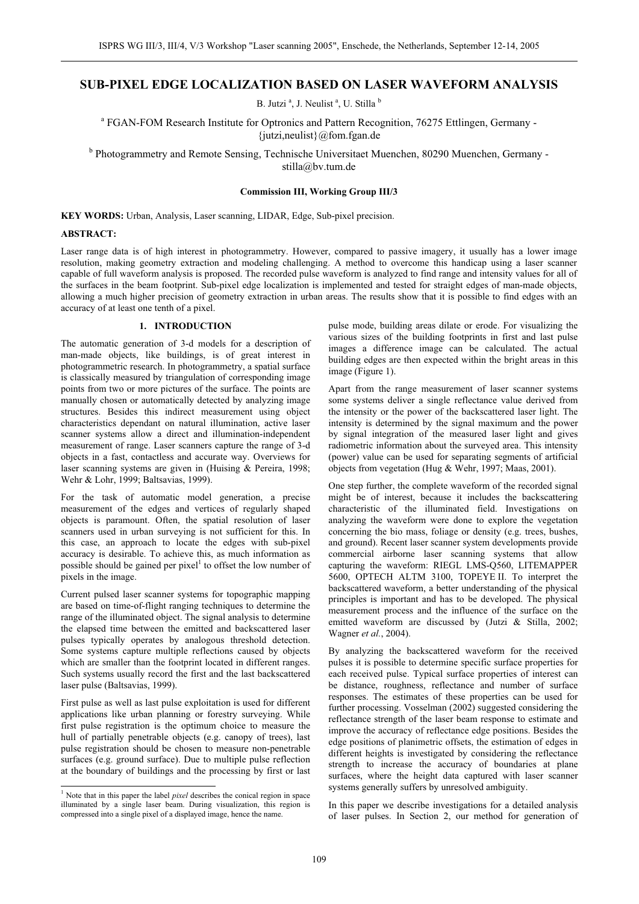# **SUB-PIXEL EDGE LOCALIZATION BASED ON LASER WAVEFORM ANALYSIS**

B. Jutzi<sup>a</sup>, J. Neulist<sup>a</sup>, U. Stilla<sup>b</sup>

<sup>a</sup> FGAN-FOM Research Institute for Optronics and Pattern Recognition, 76275 Ettlingen, Germany -{jutzi,neulist}@fom.fgan.de

<sup>b</sup> Photogrammetry and Remote Sensing, Technische Universitaet Muenchen, 80290 Muenchen, Germany stilla@bv.tum.de

## **Commission III, Working Group III/3**

**KEY WORDS:** Urban, Analysis, Laser scanning, LIDAR, Edge, Sub-pixel precision.

## **ABSTRACT:**

Laser range data is of high interest in photogrammetry. However, compared to passive imagery, it usually has a lower image resolution, making geometry extraction and modeling challenging. A method to overcome this handicap using a laser scanner capable of full waveform analysis is proposed. The recorded pulse waveform is analyzed to find range and intensity values for all of the surfaces in the beam footprint. Sub-pixel edge localization is implemented and tested for straight edges of man-made objects, allowing a much higher precision of geometry extraction in urban areas. The results show that it is possible to find edges with an accuracy of at least one tenth of a pixel.

# **1. INTRODUCTION**

The automatic generation of 3-d models for a description of man-made objects, like buildings, is of great interest in photogrammetric research. In photogrammetry, a spatial surface is classically measured by triangulation of corresponding image points from two or more pictures of the surface. The points are manually chosen or automatically detected by analyzing image structures. Besides this indirect measurement using object characteristics dependant on natural illumination, active laser scanner systems allow a direct and illumination-independent measurement of range. Laser scanners capture the range of 3-d objects in a fast, contactless and accurate way. Overviews for laser scanning systems are given in (Huising & Pereira, 1998; Wehr & Lohr, 1999; Baltsavias, 1999).

For the task of automatic model generation, a precise measurement of the edges and vertices of regularly shaped objects is paramount. Often, the spatial resolution of laser scanners used in urban surveying is not sufficient for this. In this case, an approach to locate the edges with sub-pixel accuracy is desirable. To achieve this, as much information as possible should be gained per pixel<sup>1</sup> to offset the low number of pixels in the image.

Current pulsed laser scanner systems for topographic mapping are based on time-of-flight ranging techniques to determine the range of the illuminated object. The signal analysis to determine the elapsed time between the emitted and backscattered laser pulses typically operates by analogous threshold detection. Some systems capture multiple reflections caused by objects which are smaller than the footprint located in different ranges. Such systems usually record the first and the last backscattered laser pulse (Baltsavias, 1999).

First pulse as well as last pulse exploitation is used for different applications like urban planning or forestry surveying. While first pulse registration is the optimum choice to measure the hull of partially penetrable objects (e.g. canopy of trees), last pulse registration should be chosen to measure non-penetrable surfaces (e.g. ground surface). Due to multiple pulse reflection at the boundary of buildings and the processing by first or last pulse mode, building areas dilate or erode. For visualizing the various sizes of the building footprints in first and last pulse images a difference image can be calculated. The actual building edges are then expected within the bright areas in this image (Figure 1).

Apart from the range measurement of laser scanner systems some systems deliver a single reflectance value derived from the intensity or the power of the backscattered laser light. The intensity is determined by the signal maximum and the power by signal integration of the measured laser light and gives radiometric information about the surveyed area. This intensity (power) value can be used for separating segments of artificial objects from vegetation (Hug & Wehr, 1997; Maas, 2001).

One step further, the complete waveform of the recorded signal might be of interest, because it includes the backscattering characteristic of the illuminated field. Investigations on analyzing the waveform were done to explore the vegetation concerning the bio mass, foliage or density (e.g. trees, bushes, and ground). Recent laser scanner system developments provide commercial airborne laser scanning systems that allow capturing the waveform: RIEGL LMS-Q560, LITEMAPPER 5600, OPTECH ALTM 3100, TOPEYE II. To interpret the backscattered waveform, a better understanding of the physical principles is important and has to be developed. The physical measurement process and the influence of the surface on the emitted waveform are discussed by (Jutzi & Stilla, 2002; Wagner *et al.*, 2004).

By analyzing the backscattered waveform for the received pulses it is possible to determine specific surface properties for each received pulse. Typical surface properties of interest can be distance, roughness, reflectance and number of surface responses. The estimates of these properties can be used for further processing. Vosselman (2002) suggested considering the reflectance strength of the laser beam response to estimate and improve the accuracy of reflectance edge positions. Besides the edge positions of planimetric offsets, the estimation of edges in different heights is investigated by considering the reflectance strength to increase the accuracy of boundaries at plane surfaces, where the height data captured with laser scanner systems generally suffers by unresolved ambiguity.

In this paper we describe investigations for a detailed analysis of laser pulses. In Section 2, our method for generation of

 1 Note that in this paper the label *pixel* describes the conical region in space illuminated by a single laser beam. During visualization, this region is compressed into a single pixel of a displayed image, hence the name.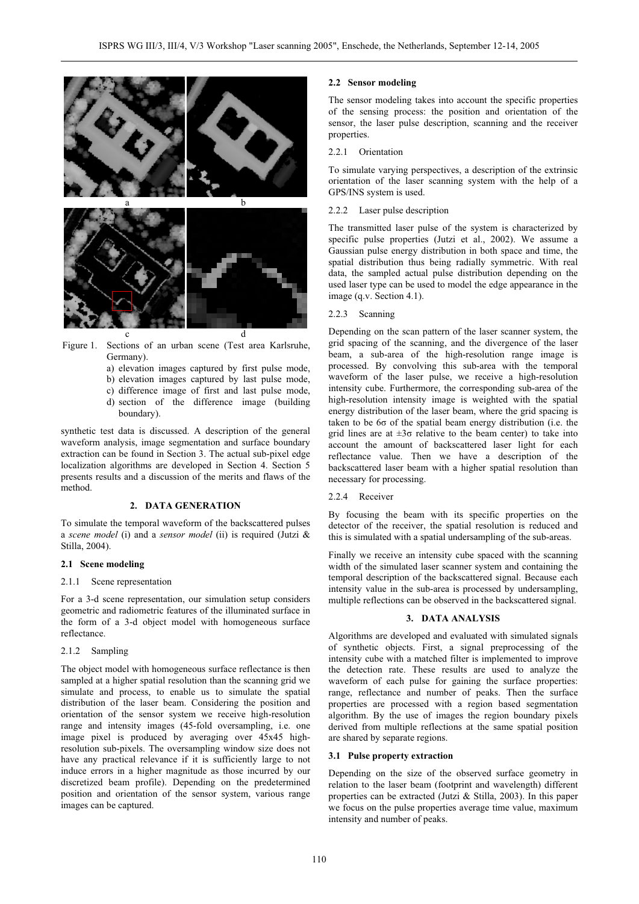

Figure 1. Sections of an urban scene (Test area Karlsruhe, Germany).

- a) elevation images captured by first pulse mode,
- b) elevation images captured by last pulse mode, c) difference image of first and last pulse mode,
- d) section of the difference image (building
- boundary).

synthetic test data is discussed. A description of the general waveform analysis, image segmentation and surface boundary extraction can be found in Section 3. The actual sub-pixel edge localization algorithms are developed in Section 4. Section 5 presents results and a discussion of the merits and flaws of the method.

# **2. DATA GENERATION**

To simulate the temporal waveform of the backscattered pulses a *scene model* (i) and a *sensor model* (ii) is required (Jutzi & Stilla, 2004).

## **2.1 Scene modeling**

#### 2.1.1 Scene representation

For a 3-d scene representation, our simulation setup considers geometric and radiometric features of the illuminated surface in the form of a 3-d object model with homogeneous surface reflectance.

# 2.1.2 Sampling

The object model with homogeneous surface reflectance is then sampled at a higher spatial resolution than the scanning grid we simulate and process, to enable us to simulate the spatial distribution of the laser beam. Considering the position and orientation of the sensor system we receive high-resolution range and intensity images (45-fold oversampling, i.e. one image pixel is produced by averaging over 45x45 highresolution sub-pixels. The oversampling window size does not have any practical relevance if it is sufficiently large to not induce errors in a higher magnitude as those incurred by our discretized beam profile). Depending on the predetermined position and orientation of the sensor system, various range images can be captured.

#### **2.2 Sensor modeling**

The sensor modeling takes into account the specific properties of the sensing process: the position and orientation of the sensor, the laser pulse description, scanning and the receiver properties.

## 2.2.1 Orientation

To simulate varying perspectives, a description of the extrinsic orientation of the laser scanning system with the help of a GPS/INS system is used.

#### 2.2.2 Laser pulse description

The transmitted laser pulse of the system is characterized by specific pulse properties (Jutzi et al., 2002). We assume a Gaussian pulse energy distribution in both space and time, the spatial distribution thus being radially symmetric. With real data, the sampled actual pulse distribution depending on the used laser type can be used to model the edge appearance in the image (q.v. Section 4.1).

#### 2.2.3 Scanning

Depending on the scan pattern of the laser scanner system, the grid spacing of the scanning, and the divergence of the laser beam, a sub-area of the high-resolution range image is processed. By convolving this sub-area with the temporal waveform of the laser pulse, we receive a high-resolution intensity cube. Furthermore, the corresponding sub-area of the high-resolution intensity image is weighted with the spatial energy distribution of the laser beam, where the grid spacing is taken to be  $6\sigma$  of the spatial beam energy distribution (i.e. the grid lines are at  $\pm 3\sigma$  relative to the beam center) to take into account the amount of backscattered laser light for each reflectance value. Then we have a description of the backscattered laser beam with a higher spatial resolution than necessary for processing.

## 2.2.4 Receiver

By focusing the beam with its specific properties on the detector of the receiver, the spatial resolution is reduced and this is simulated with a spatial undersampling of the sub-areas.

Finally we receive an intensity cube spaced with the scanning width of the simulated laser scanner system and containing the temporal description of the backscattered signal. Because each intensity value in the sub-area is processed by undersampling, multiple reflections can be observed in the backscattered signal.

## **3. DATA ANALYSIS**

Algorithms are developed and evaluated with simulated signals of synthetic objects. First, a signal preprocessing of the intensity cube with a matched filter is implemented to improve the detection rate. These results are used to analyze the waveform of each pulse for gaining the surface properties: range, reflectance and number of peaks. Then the surface properties are processed with a region based segmentation algorithm. By the use of images the region boundary pixels derived from multiple reflections at the same spatial position are shared by separate regions.

# **3.1 Pulse property extraction**

Depending on the size of the observed surface geometry in relation to the laser beam (footprint and wavelength) different properties can be extracted (Jutzi & Stilla, 2003). In this paper we focus on the pulse properties average time value, maximum intensity and number of peaks.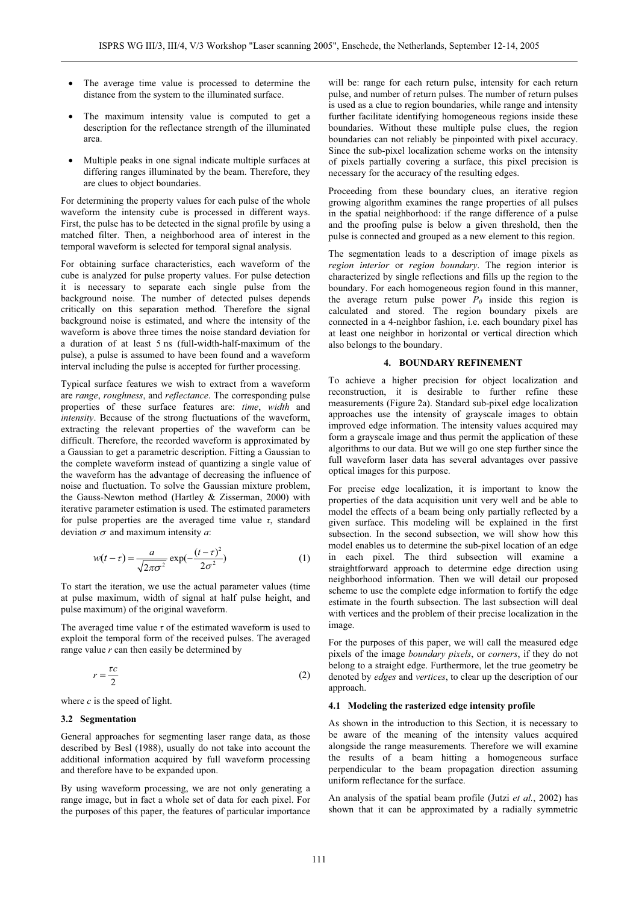- The average time value is processed to determine the distance from the system to the illuminated surface.
- The maximum intensity value is computed to get a description for the reflectance strength of the illuminated area.
- Multiple peaks in one signal indicate multiple surfaces at differing ranges illuminated by the beam. Therefore, they are clues to object boundaries.

For determining the property values for each pulse of the whole waveform the intensity cube is processed in different ways. First, the pulse has to be detected in the signal profile by using a matched filter. Then, a neighborhood area of interest in the temporal waveform is selected for temporal signal analysis.

For obtaining surface characteristics, each waveform of the cube is analyzed for pulse property values. For pulse detection it is necessary to separate each single pulse from the background noise. The number of detected pulses depends critically on this separation method. Therefore the signal background noise is estimated, and where the intensity of the waveform is above three times the noise standard deviation for a duration of at least 5 ns (full-width-half-maximum of the pulse), a pulse is assumed to have been found and a waveform interval including the pulse is accepted for further processing.

Typical surface features we wish to extract from a waveform are *range*, *roughness*, and *reflectance*. The corresponding pulse properties of these surface features are: *time*, *width* and *intensity*. Because of the strong fluctuations of the waveform, extracting the relevant properties of the waveform can be difficult. Therefore, the recorded waveform is approximated by a Gaussian to get a parametric description. Fitting a Gaussian to the complete waveform instead of quantizing a single value of the waveform has the advantage of decreasing the influence of noise and fluctuation. To solve the Gaussian mixture problem, the Gauss-Newton method (Hartley & Zisserman, 2000) with iterative parameter estimation is used. The estimated parameters for pulse properties are the averaged time value  $\tau$ , standard deviation  $\sigma$  and maximum intensity  $a$ :

$$
w(t-\tau) = \frac{a}{\sqrt{2\pi\sigma^2}} \exp(-\frac{(t-\tau)^2}{2\sigma^2})
$$
 (1)

To start the iteration, we use the actual parameter values (time at pulse maximum, width of signal at half pulse height, and pulse maximum) of the original waveform.

The averaged time value  $\tau$  of the estimated waveform is used to exploit the temporal form of the received pulses. The averaged range value *r* can then easily be determined by

$$
r = \frac{\tau c}{2} \tag{2}
$$

where *c* is the speed of light.

#### **3.2 Segmentation**

General approaches for segmenting laser range data, as those described by Besl (1988), usually do not take into account the additional information acquired by full waveform processing and therefore have to be expanded upon.

By using waveform processing, we are not only generating a range image, but in fact a whole set of data for each pixel. For the purposes of this paper, the features of particular importance

will be: range for each return pulse, intensity for each return pulse, and number of return pulses. The number of return pulses is used as a clue to region boundaries, while range and intensity further facilitate identifying homogeneous regions inside these boundaries. Without these multiple pulse clues, the region boundaries can not reliably be pinpointed with pixel accuracy. Since the sub-pixel localization scheme works on the intensity of pixels partially covering a surface, this pixel precision is necessary for the accuracy of the resulting edges.

Proceeding from these boundary clues, an iterative region growing algorithm examines the range properties of all pulses in the spatial neighborhood: if the range difference of a pulse and the proofing pulse is below a given threshold, then the pulse is connected and grouped as a new element to this region.

The segmentation leads to a description of image pixels as *region interior* or *region boundary*. The region interior is characterized by single reflections and fills up the region to the boundary. For each homogeneous region found in this manner, the average return pulse power  $P_0$  inside this region is calculated and stored. The region boundary pixels are connected in a 4-neighbor fashion, i.e. each boundary pixel has at least one neighbor in horizontal or vertical direction which also belongs to the boundary.

# **4. BOUNDARY REFINEMENT**

To achieve a higher precision for object localization and reconstruction, it is desirable to further refine these measurements (Figure 2a). Standard sub-pixel edge localization approaches use the intensity of grayscale images to obtain improved edge information. The intensity values acquired may form a grayscale image and thus permit the application of these algorithms to our data. But we will go one step further since the full waveform laser data has several advantages over passive optical images for this purpose.

For precise edge localization, it is important to know the properties of the data acquisition unit very well and be able to model the effects of a beam being only partially reflected by a given surface. This modeling will be explained in the first subsection. In the second subsection, we will show how this model enables us to determine the sub-pixel location of an edge in each pixel. The third subsection will examine a straightforward approach to determine edge direction using neighborhood information. Then we will detail our proposed scheme to use the complete edge information to fortify the edge estimate in the fourth subsection. The last subsection will deal with vertices and the problem of their precise localization in the image.

For the purposes of this paper, we will call the measured edge pixels of the image *boundary pixels*, or *corners*, if they do not belong to a straight edge. Furthermore, let the true geometry be denoted by *edges* and *vertices*, to clear up the description of our approach.

#### **4.1 Modeling the rasterized edge intensity profile**

As shown in the introduction to this Section, it is necessary to be aware of the meaning of the intensity values acquired alongside the range measurements. Therefore we will examine the results of a beam hitting a homogeneous surface perpendicular to the beam propagation direction assuming uniform reflectance for the surface.

An analysis of the spatial beam profile (Jutzi *et al.*, 2002) has shown that it can be approximated by a radially symmetric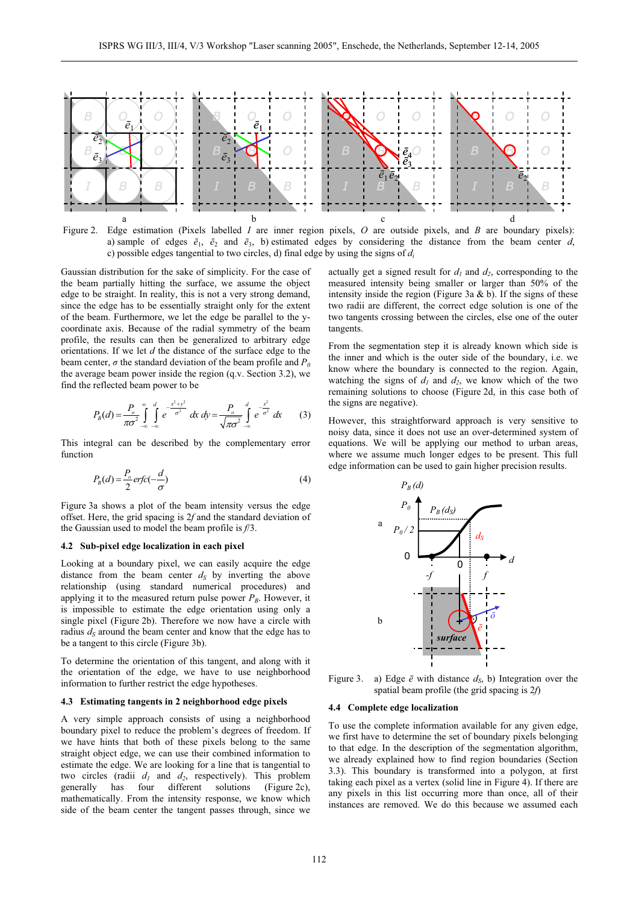

Figure 2. Edge estimation (Pixels labelled *I* are inner region pixels, *O* are outside pixels, and *B* are boundary pixels): a) sample of edges  $\bar{e}_1$ ,  $\bar{e}_2$  and  $\bar{e}_3$ , b) estimated edges by considering the distance from the beam center *d*, c) possible edges tangential to two circles, d) final edge by using the signs of *di*

Gaussian distribution for the sake of simplicity. For the case of the beam partially hitting the surface, we assume the object edge to be straight. In reality, this is not a very strong demand, since the edge has to be essentially straight only for the extent of the beam. Furthermore, we let the edge be parallel to the ycoordinate axis. Because of the radial symmetry of the beam profile, the results can then be generalized to arbitrary edge orientations. If we let *d* the distance of the surface edge to the beam center,  $\sigma$  the standard deviation of the beam profile and  $P_0$ the average beam power inside the region (q.v. Section 3.2), we find the reflected beam power to be

$$
P_B(d) = \frac{P_o}{\pi \sigma^2} \int_{-\infty}^{a} \int_{-\infty}^{d} e^{-\frac{x^2 + y^2}{\sigma^2}} dx dy = \frac{P_o}{\sqrt{\pi \sigma^2}} \int_{-\infty}^{d} e^{-\frac{x^2}{\sigma^2}} dx
$$
 (3)

This integral can be described by the complementary error function

$$
P_B(d) = \frac{P_o}{2} erfc(-\frac{d}{\sigma})
$$
\n(4)

Figure 3a shows a plot of the beam intensity versus the edge offset. Here, the grid spacing is 2*f* and the standard deviation of the Gaussian used to model the beam profile is *f*/3.

#### **4.2 Sub-pixel edge localization in each pixel**

Looking at a boundary pixel, we can easily acquire the edge distance from the beam center  $d<sub>S</sub>$  by inverting the above relationship (using standard numerical procedures) and applying it to the measured return pulse power  $P_B$ . However, it is impossible to estimate the edge orientation using only a single pixel (Figure 2b). Therefore we now have a circle with radius  $d<sub>S</sub>$  around the beam center and know that the edge has to be a tangent to this circle (Figure 3b).

To determine the orientation of this tangent, and along with it the orientation of the edge, we have to use neighborhood information to further restrict the edge hypotheses.

# **4.3 4.4 Estimating tangents in 2 neighborhood edge pixels**

A very simple approach consists of using a neighborhood boundary pixel to reduce the problem's degrees of freedom. If we have hints that both of these pixels belong to the same straight object edge, we can use their combined information to estimate the edge. We are looking for a line that is tangential to two circles (radii  $d_1$  and  $d_2$ , respectively). This problem generally has four different solutions (Figure 2c), mathematically. From the intensity response, we know which side of the beam center the tangent passes through, since we

actually get a signed result for  $d_1$  and  $d_2$ , corresponding to the measured intensity being smaller or larger than 50% of the intensity inside the region (Figure 3a  $\&$  b). If the signs of these two radii are different, the correct edge solution is one of the two tangents crossing between the circles, else one of the outer tangents.

From the segmentation step it is already known which side is the inner and which is the outer side of the boundary, i.e. we know where the boundary is connected to the region. Again, watching the signs of  $d_1$  and  $d_2$ , we know which of the two remaining solutions to choose (Figure 2d, in this case both of the signs are negative).

However, this straightforward approach is very sensitive to noisy data, since it does not use an over-determined system of equations. We will be applying our method to urban areas, where we assume much longer edges to be present. This full edge information can be used to gain higher precision results.



Figure 3. a) Edge  $\bar{e}$  with distance  $d_S$ , b) Integration over the spatial beam profile (the grid spacing is 2*f*)

## **Complete edge localization**

To use the complete information available for any given edge, we first have to determine the set of boundary pixels belonging to that edge. In the description of the segmentation algorithm, we already explained how to find region boundaries (Section 3.3). This boundary is transformed into a polygon, at first taking each pixel as a vertex (solid line in Figure 4). If there are any pixels in this list occurring more than once, all of their instances are removed. We do this because we assumed each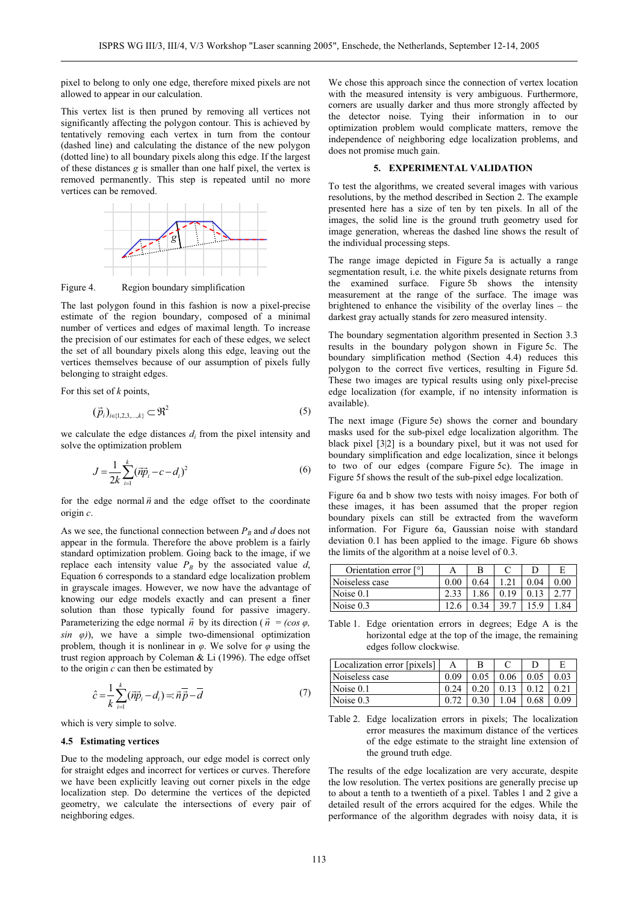pixel to belong to only one edge, therefore mixed pixels are not allowed to appear in our calculation.

This vertex list is then pruned by removing all vertices not significantly affecting the polygon contour. This is achieved by tentatively removing each vertex in turn from the contour (dashed line) and calculating the distance of the new polygon (dotted line) to all boundary pixels along this edge. If the largest of these distances *g* is smaller than one half pixel, the vertex is removed permanently. This step is repeated until no more vertices can be removed.



Figure 4. Region boundary simplification

The last polygon found in this fashion is now a pixel-precise estimate of the region boundary, composed of a minimal number of vertices and edges of maximal length. To increase the precision of our estimates for each of these edges, we select the set of all boundary pixels along this edge, leaving out the vertices themselves because of our assumption of pixels fully belonging to straight edges.

For this set of *k* points,

$$
(\vec{p}_i)_{i \in \{1, 2, 3, \dots, k\}} \subset \mathfrak{R}^2 \tag{5}
$$

we calculate the edge distances *di* from the pixel intensity and solve the optimization problem

$$
J = \frac{1}{2k} \sum_{i=1}^{k} (\vec{np}_i - c - d_i)^2
$$
 (6)

for the edge normal  $\vec{n}$  and the edge offset to the coordinate origin *c*.

As we see, the functional connection between  $P_B$  and  $d$  does not appear in the formula. Therefore the above problem is a fairly standard optimization problem. Going back to the image, if we replace each intensity value  $P_B$  by the associated value  $d$ , Equation 6 corresponds to a standard edge localization problem in grayscale images. However, we now have the advantage of knowing our edge models exactly and can present a finer solution than those typically found for passive imagery. Parameterizing the edge normal  $\vec{n}$  by its direction ( $\vec{n} = (\cos \varphi, \theta)$  $sin \varphi$ ), we have a simple two-dimensional optimization problem, though it is nonlinear in  $\varphi$ . We solve for  $\varphi$  using the trust region approach by Coleman & Li (1996). The edge offset to the origin *c* can then be estimated by

$$
\hat{c} = \frac{1}{k} \sum_{i=1}^{k} (\overrightarrow{np}_i - d_i) = \overrightarrow{n} \cdot \overrightarrow{p} - \overrightarrow{d}
$$
\n(7)

which is very simple to solve.

#### **4.5 Estimating vertices**

Due to the modeling approach, our edge model is correct only for straight edges and incorrect for vertices or curves. Therefore we have been explicitly leaving out corner pixels in the edge localization step. Do determine the vertices of the depicted geometry, we calculate the intersections of every pair of neighboring edges.

We chose this approach since the connection of vertex location with the measured intensity is very ambiguous. Furthermore, corners are usually darker and thus more strongly affected by the detector noise. Tying their information in to our optimization problem would complicate matters, remove the independence of neighboring edge localization problems, and does not promise much gain.

## **5. EXPERIMENTAL VALIDATION**

To test the algorithms, we created several images with various resolutions, by the method described in Section 2. The example presented here has a size of ten by ten pixels. In all of the images, the solid line is the ground truth geometry used for image generation, whereas the dashed line shows the result of the individual processing steps.

The range image depicted in Figure 5a is actually a range segmentation result, i.e. the white pixels designate returns from the examined surface. Figure 5b shows the intensity measurement at the range of the surface. The image was brightened to enhance the visibility of the overlay lines – the darkest gray actually stands for zero measured intensity.

The boundary segmentation algorithm presented in Section 3.3 results in the boundary polygon shown in Figure 5c. The boundary simplification method (Section 4.4) reduces this polygon to the correct five vertices, resulting in Figure 5d. These two images are typical results using only pixel-precise edge localization (for example, if no intensity information is available).

The next image (Figure 5e) shows the corner and boundary masks used for the sub-pixel edge localization algorithm. The black pixel [3|2] is a boundary pixel, but it was not used for boundary simplification and edge localization, since it belongs to two of our edges (compare Figure 5c). The image in Figure 5f shows the result of the sub-pixel edge localization.

Figure 6a and b show two tests with noisy images. For both of these images, it has been assumed that the proper region boundary pixels can still be extracted from the waveform information. For Figure 6a, Gaussian noise with standard deviation 0.1 has been applied to the image. Figure 6b shows the limits of the algorithm at a noise level of 0.3.

| Orientation error [°] |      |      |      |      |  |
|-----------------------|------|------|------|------|--|
| Noiseless case        | 0.00 | 0.64 |      | 0.04 |  |
| Noise 0.1             |      | 1.86 | 0.19 |      |  |
| $\sqrt{N}$ Noise 0.3  |      | በ 34 | 39.7 |      |  |

Table 1. Edge orientation errors in degrees; Edge A is the horizontal edge at the top of the image, the remaining edges follow clockwise.

| Localization error [pixels] |      |      |      |      |      |
|-----------------------------|------|------|------|------|------|
| Noiseless case              | 0.09 | 0.05 | 0.06 | 0.05 | 0.03 |
| Noise $0.1$                 | 0.24 | 0.20 | 0.13 |      |      |
| Noise $0.3$                 |      | 0.30 | 1.04 | 0.68 | 0.09 |

Table 2. Edge localization errors in pixels; The localization error measures the maximum distance of the vertices of the edge estimate to the straight line extension of the ground truth edge.

The results of the edge localization are very accurate, despite the low resolution. The vertex positions are generally precise up to about a tenth to a twentieth of a pixel. Tables 1 and 2 give a detailed result of the errors acquired for the edges. While the performance of the algorithm degrades with noisy data, it is